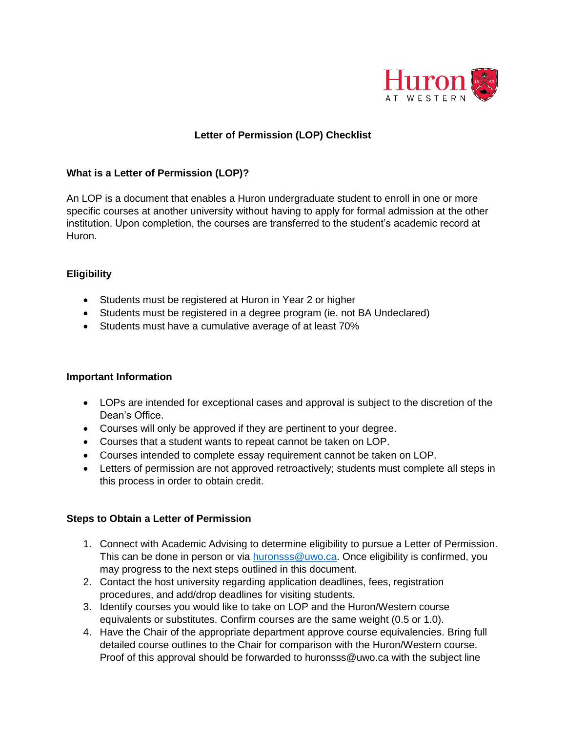

# **Letter of Permission (LOP) Checklist**

# **What is a Letter of Permission (LOP)?**

An LOP is a document that enables a Huron undergraduate student to enroll in one or more specific courses at another university without having to apply for formal admission at the other institution. Upon completion, the courses are transferred to the student's academic record at Huron.

# **Eligibility**

- Students must be registered at Huron in Year 2 or higher
- Students must be registered in a degree program (ie. not BA Undeclared)
- Students must have a cumulative average of at least 70%

# **Important Information**

- LOPs are intended for exceptional cases and approval is subject to the discretion of the Dean's Office.
- Courses will only be approved if they are pertinent to your degree.
- Courses that a student wants to repeat cannot be taken on LOP.
- Courses intended to complete essay requirement cannot be taken on LOP.
- Letters of permission are not approved retroactively; students must complete all steps in this process in order to obtain credit.

# **Steps to Obtain a Letter of Permission**

- 1. Connect with Academic Advising to determine eligibility to pursue a Letter of Permission. This can be done in person or via [huronsss@uwo.ca.](mailto:huronsss@uwo.ca) Once eligibility is confirmed, you may progress to the next steps outlined in this document.
- 2. Contact the host university regarding application deadlines, fees, registration procedures, and add/drop deadlines for visiting students.
- 3. Identify courses you would like to take on LOP and the Huron/Western course equivalents or substitutes. Confirm courses are the same weight (0.5 or 1.0).
- 4. Have the Chair of the appropriate department approve course equivalencies. Bring full detailed course outlines to the Chair for comparison with the Huron/Western course. Proof of this approval should be forwarded to huronsss@uwo.ca with the subject line